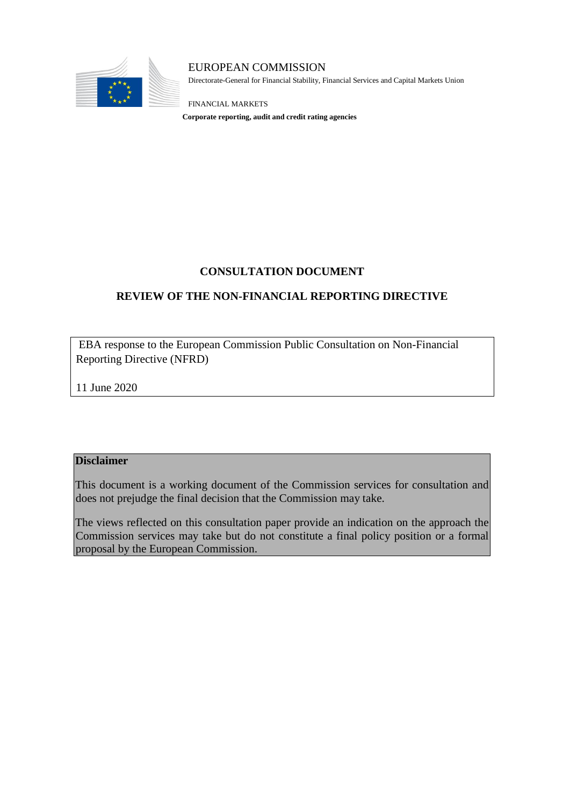

EUROPEAN COMMISSION Directorate-General for Financial Stability, Financial Services and Capital Markets Union

FINANCIAL MARKETS **Corporate reporting, audit and credit rating agencies**

## **CONSULTATION DOCUMENT**

## **REVIEW OF THE NON-FINANCIAL REPORTING DIRECTIVE**

EBA response to the European Commission Public Consultation on Non-Financial Reporting Directive (NFRD)

11 June 2020

#### **Disclaimer**

This document is a working document of the Commission services for consultation and does not prejudge the final decision that the Commission may take.

The views reflected on this consultation paper provide an indication on the approach the Commission services may take but do not constitute a final policy position or a formal proposal by the European Commission.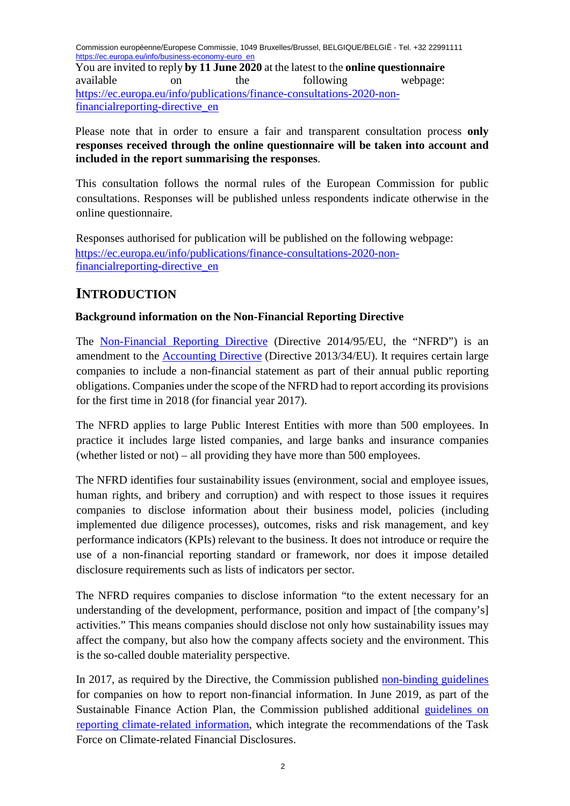Commission européenne/Europese Commissie, 1049 Bruxelles/Brussel, BELGIQUE/BELGIË - Tel. +32 22991111 [https://ec.europa.eu/info/business-economy-euro\\_en](https://ec.europa.eu/info/business-economy-euro_en)

You are invited to reply **by 11 June 2020** at the latest to the **online questionnaire** available on the following webpage: [https://ec.europa.eu/info/publications/finance-consultations-2020-non](https://ec.europa.eu/info/publications/finance-consultations-2020-non-financial-reporting-directive_en)[financialreporting-directive\\_en](https://ec.europa.eu/info/publications/finance-consultations-2020-non-financial-reporting-directive_en)

Please note that in order to ensure a fair and transparent consultation process **only responses received through the online questionnaire will be taken into account and included in the report summarising the responses**.

This consultation follows the normal rules of the European Commission for public consultations. Responses will be published unless respondents indicate otherwise in the online questionnaire.

Responses authorised for publication will be published on the following webpage: [https://ec.europa.eu/info/publications/finance-consultations-2020-non](https://ec.europa.eu/info/publications/finance-consultations-2020-non-financial-reporting-directive_en)[financialreporting-directive\\_en](https://ec.europa.eu/info/publications/finance-consultations-2020-non-financial-reporting-directive_en)

## **INTRODUCTION**

## **Background information on the Non-Financial Reporting Directive**

The [Non-Financial Reporting Directive](https://eur-lex.europa.eu/legal-content/EN/TXT/?uri=CELEX:32014L0095) [\(](https://eur-lex.europa.eu/legal-content/EN/TXT/?uri=CELEX:32014L0095)Directive 2014/95/EU, the "NFRD") is an amendment to the [Accounting Directive](https://eur-lex.europa.eu/legal-content/EN/TXT/?uri=CELEX:32013L0034) (Directive 2013/34/EU). It requires certain large companies to include a non-financial statement as part of their annual public reporting obligations. Companies under the scope of the NFRD had to report according its provisions for the first time in 2018 (for financial year 2017).

The NFRD applies to large Public Interest Entities with more than 500 employees. In practice it includes large listed companies, and large banks and insurance companies (whether listed or not) – all providing they have more than 500 employees.

The NFRD identifies four sustainability issues (environment, social and employee issues, human rights, and bribery and corruption) and with respect to those issues it requires companies to disclose information about their business model, policies (including implemented due diligence processes), outcomes, risks and risk management, and key performance indicators (KPIs) relevant to the business. It does not introduce or require the use of a non-financial reporting standard or framework, nor does it impose detailed disclosure requirements such as lists of indicators per sector.

The NFRD requires companies to disclose information "to the extent necessary for an understanding of the development, performance, position and impact of [the company's] activities." This means companies should disclose not only how sustainability issues may affect the company, but also how the company affects society and the environment. This is the so-called double materiality perspective.

In 2017, as required by the Directive, the Commission published [non-binding guidelines](https://eur-lex.europa.eu/legal-content/EN/TXT/?uri=CELEX:52017XC0705(01)) for companies on how to report non-financial information. In June 2019, as part of the Sustainable Finance Action Plan, the Commission published additional [guidelines on](https://eur-lex.europa.eu/legal-content/EN/TXT/?uri=CELEX:52019XC0620(01)) [reporting climate-related information,](https://eur-lex.europa.eu/legal-content/EN/TXT/?uri=CELEX:52019XC0620(01)) which integrate the recommendations of the Task Force on Climate-related Financial Disclosures.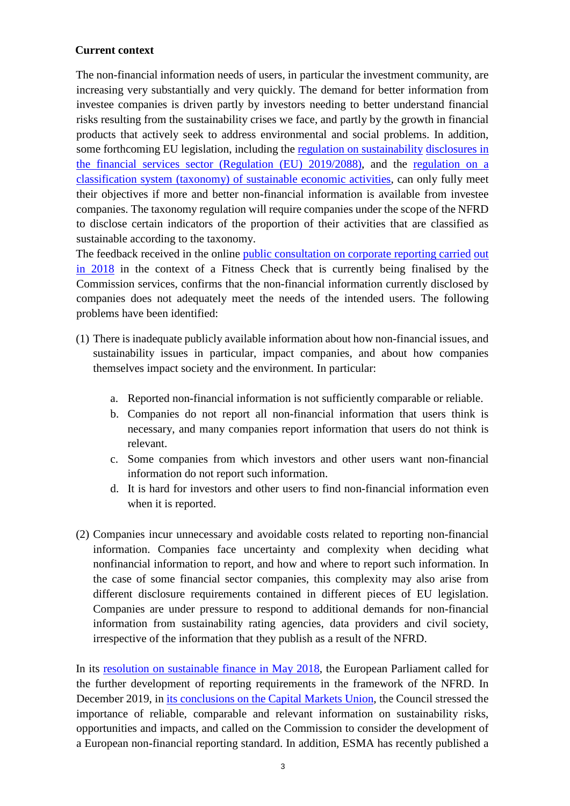#### **Current context**

The non-financial information needs of users, in particular the investment community, are increasing very substantially and very quickly. The demand for better information from investee companies is driven partly by investors needing to better understand financial risks resulting from the sustainability crises we face, and partly by the growth in financial products that actively seek to address environmental and social problems. In addition, some forthcoming EU legislation, including the [regulation on sustainability](https://eur-lex.europa.eu/legal-content/EN/TXT/?uri=CELEX:32019R2088) [disclosures in](https://eur-lex.europa.eu/legal-content/EN/TXT/?uri=CELEX:32019R2088)  [the financial services sector \(Regulation \(EU\) 2019/2088\),](https://eur-lex.europa.eu/legal-content/EN/TXT/?uri=CELEX:32019R2088) and the [regulation on a](https://eur-lex.europa.eu/legal-content/EN/TXT/?uri=CONSIL:ST_14970_2019_ADD_1_COR_1)  [classification system \(taxonomy\) of sustainable economic activities,](https://eur-lex.europa.eu/legal-content/EN/TXT/?uri=CONSIL:ST_14970_2019_ADD_1_COR_1) can only fully meet their objectives if more and better non-financial information is available from investee companies. The taxonomy regulation will require companies under the scope of the NFRD to disclose certain indicators of the proportion of their activities that are classified as sustainable according to the taxonomy.

The feedback received in the online [public consultation on corporate reporting](https://ec.europa.eu/info/consultations/finance-2018-companies-public-reporting_en) [c](https://ec.europa.eu/info/consultations/finance-2018-companies-public-reporting_en)arried out in 2018 in the context of a Fitness Check that is currently being finalised by the Commission services, confirms that the non-financial information currently disclosed by companies does not adequately meet the needs of the intended users. The following problems have been identified:

- (1) There is inadequate publicly available information about how non-financial issues, and sustainability issues in particular, impact companies, and about how companies themselves impact society and the environment. In particular:
	- a. Reported non-financial information is not sufficiently comparable or reliable.
	- b. Companies do not report all non-financial information that users think is necessary, and many companies report information that users do not think is relevant.
	- c. Some companies from which investors and other users want non-financial information do not report such information.
	- d. It is hard for investors and other users to find non-financial information even when it is reported.
- (2) Companies incur unnecessary and avoidable costs related to reporting non-financial information. Companies face uncertainty and complexity when deciding what nonfinancial information to report, and how and where to report such information. In the case of some financial sector companies, this complexity may also arise from different disclosure requirements contained in different pieces of EU legislation. Companies are under pressure to respond to additional demands for non-financial information from sustainability rating agencies, data providers and civil society, irrespective of the information that they publish as a result of the NFRD.

In its [resolution on sustainable finance in May 2018,](http://www.europarl.europa.eu/doceo/document/TA-8-2018-0215_EN.html?redirect) the European Parliament called for the further development of reporting requirements in the framework of the NFRD. In December 2019, in [its conclusions on the Capital Markets Union,](http://data.consilium.europa.eu/doc/document/ST-14815-2019-INIT/en/pdf) the Council stressed the importance of reliable, comparable and relevant information on sustainability risks, opportunities and impacts, and called on the Commission to consider the development of a European non-financial reporting standard. In addition, ESMA has recently published a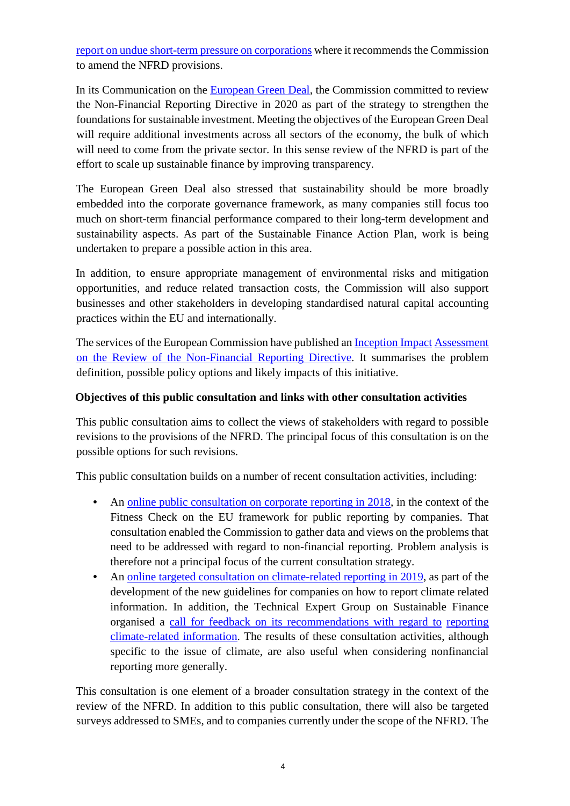[report on undue short-term pressure on](https://www.esma.europa.eu/sites/default/files/library/esma30-22-762_report_on_undue_short-term_pressure_on_corporations_from_the_financial_sector.pdf) [corporations](https://www.esma.europa.eu/sites/default/files/library/esma30-22-762_report_on_undue_short-term_pressure_on_corporations_from_the_financial_sector.pdf) [w](https://www.esma.europa.eu/sites/default/files/library/esma30-22-762_report_on_undue_short-term_pressure_on_corporations_from_the_financial_sector.pdf)here it recommends the Commission to amend the NFRD provisions.

In its Communication on the [European Green Deal,](https://eur-lex.europa.eu/legal-content/EN/TXT/?uri=COM%3A2019%3A640%3AFIN) the Commission committed to review the Non-Financial Reporting Directive in 2020 as part of the strategy to strengthen the foundations for sustainable investment. Meeting the objectives of the European Green Deal will require additional investments across all sectors of the economy, the bulk of which will need to come from the private sector. In this sense review of the NFRD is part of the effort to scale up sustainable finance by improving transparency.

The European Green Deal also stressed that sustainability should be more broadly embedded into the corporate governance framework, as many companies still focus too much on short-term financial performance compared to their long-term development and sustainability aspects. As part of the Sustainable Finance Action Plan, work is being undertaken to prepare a possible action in this area.

In addition, to ensure appropriate management of environmental risks and mitigation opportunities, and reduce related transaction costs, the Commission will also support businesses and other stakeholders in developing standardised natural capital accounting practices within the EU and internationally.

The services of the European Commission have published an [Inception](https://ec.europa.eu/info/law/better-regulation/initiatives/ares-2020-580716_en) [Impact](https://ec.europa.eu/info/law/better-regulation/initiatives/ares-2020-580716_en) [Assessment](https://ec.europa.eu/info/law/better-regulation/initiatives/ares-2020-580716_en)  [on the Review of the Non-Financial Reporting Directive.](https://ec.europa.eu/info/law/better-regulation/initiatives/ares-2020-580716_en) It summarises the problem definition, possible policy options and likely impacts of this initiative.

#### **Objectives of this public consultation and links with other consultation activities**

This public consultation aims to collect the views of stakeholders with regard to possible revisions to the provisions of the NFRD. The principal focus of this consultation is on the possible options for such revisions.

This public consultation builds on a number of recent consultation activities, including:

- An [online public consultation on corporate reporting in 2018,](https://ec.europa.eu/info/consultations/finance-2018-companies-public-reporting_en) in the context of the Fitness Check on the EU framework for public reporting by companies. That consultation enabled the Commission to gather data and views on the problems that need to be addressed with regard to non-financial reporting. Problem analysis is therefore not a principal focus of the current consultation strategy.
- An [online targeted consultation on climate-related reporting in 2019,](https://ec.europa.eu/info/consultations/finance-2019-non-financial-reporting-guidelines_en) as part of the development of the new guidelines for companies on how to report climate related information. In addition, the Technical Expert Group on Sustainable Finance organised a [call for feedback on its recommendations with regard to](https://ec.europa.eu/info/publications/190110-sustainable-finance-teg-report-climate-related-disclosures_en) [reporting](https://ec.europa.eu/info/publications/190110-sustainable-finance-teg-report-climate-related-disclosures_en)  [climate-related information.](https://ec.europa.eu/info/publications/190110-sustainable-finance-teg-report-climate-related-disclosures_en) The results of these consultation activities, although specific to the issue of climate, are also useful when considering nonfinancial reporting more generally.

This consultation is one element of a broader consultation strategy in the context of the review of the NFRD. In addition to this public consultation, there will also be targeted surveys addressed to SMEs, and to companies currently under the scope of the NFRD. The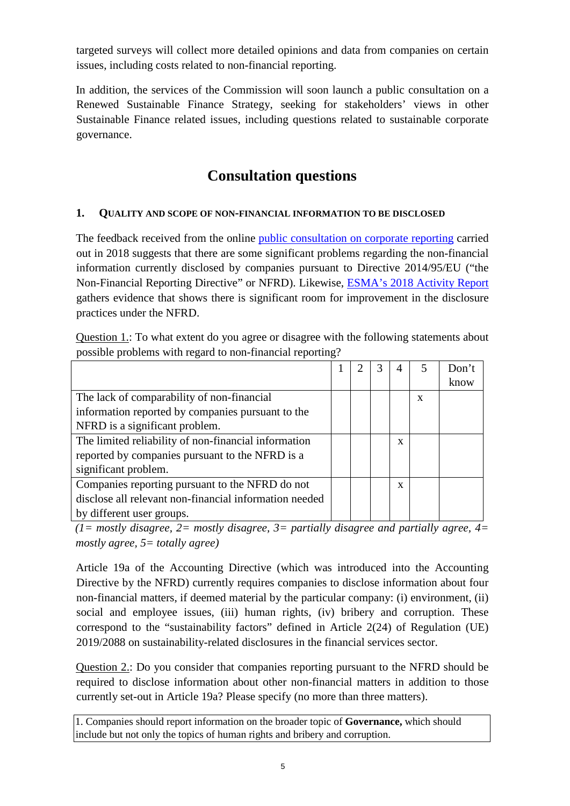targeted surveys will collect more detailed opinions and data from companies on certain issues, including costs related to non-financial reporting.

In addition, the services of the Commission will soon launch a public consultation on a Renewed Sustainable Finance Strategy, seeking for stakeholders' views in other Sustainable Finance related issues, including questions related to sustainable corporate governance.

# **Consultation questions**

## **1. QUALITY AND SCOPE OF NON-FINANCIAL INFORMATION TO BE DISCLOSED**

The feedback received from the online [public consultation on corporate reporting](https://ec.europa.eu/info/consultations/finance-2018-companies-public-reporting_en) carried out in 2018 suggests that there are some significant problems regarding the non-financial information currently disclosed by companies pursuant to Directive 2014/95/EU ("the Non-Financial Reporting Directive" or NFRD). Likewise, [ESMA's 2018 Activity Report](https://www.esma.europa.eu/sites/default/files/library/esma32-63-672_report_on_enforcement_activities_2018.pdf) gathers evidence that shows there is significant room for improvement in the disclosure practices under the NFRD.

Question 1.: To what extent do you agree or disagree with the following statements about possible problems with regard to non-financial reporting?

|                                                        |  | 4 |   | Don't |
|--------------------------------------------------------|--|---|---|-------|
|                                                        |  |   |   | know  |
| The lack of comparability of non-financial             |  |   | X |       |
| information reported by companies pursuant to the      |  |   |   |       |
| NFRD is a significant problem.                         |  |   |   |       |
| The limited reliability of non-financial information   |  | X |   |       |
| reported by companies pursuant to the NFRD is a        |  |   |   |       |
| significant problem.                                   |  |   |   |       |
| Companies reporting pursuant to the NFRD do not        |  | X |   |       |
| disclose all relevant non-financial information needed |  |   |   |       |
| by different user groups.                              |  |   |   |       |

*(1= mostly disagree, 2= mostly disagree, 3= partially disagree and partially agree, 4= mostly agree, 5= totally agree)* 

Article 19a of the Accounting Directive (which was introduced into the Accounting Directive by the NFRD) currently requires companies to disclose information about four non-financial matters, if deemed material by the particular company: (i) environment, (ii) social and employee issues, (iii) human rights, (iv) bribery and corruption. These correspond to the "sustainability factors" defined in Article 2(24) of Regulation (UE) 2019/2088 on sustainability-related disclosures in the financial services sector.

Question 2.: Do you consider that companies reporting pursuant to the NFRD should be required to disclose information about other non-financial matters in addition to those currently set-out in Article 19a? Please specify (no more than three matters).

1. Companies should report information on the broader topic of **Governance,** which should include but not only the topics of human rights and bribery and corruption.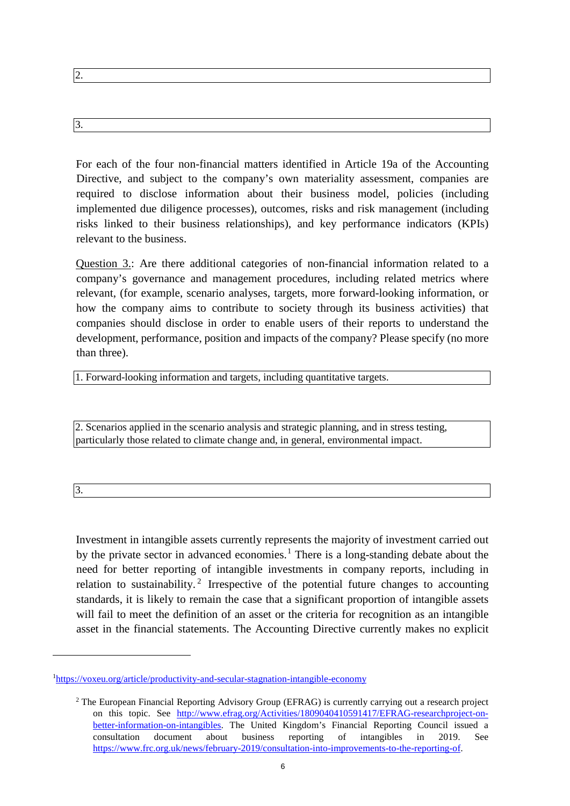| . د |
|-----|
|     |
|     |
|     |

For each of the four non-financial matters identified in Article 19a of the Accounting Directive, and subject to the company's own materiality assessment, companies are required to disclose information about their business model, policies (including implemented due diligence processes), outcomes, risks and risk management (including risks linked to their business relationships), and key performance indicators (KPIs) relevant to the business.

Question 3.: Are there additional categories of non-financial information related to a company's governance and management procedures, including related metrics where relevant, (for example, scenario analyses, targets, more forward-looking information, or how the company aims to contribute to society through its business activities) that companies should disclose in order to enable users of their reports to understand the development, performance, position and impacts of the company? Please specify (no more than three).

1. Forward-looking information and targets, including quantitative targets.

2. Scenarios applied in the scenario analysis and strategic planning, and in stress testing, particularly those related to climate change and, in general, environmental impact.

3.

 $\overline{a}$ 

3.

Investment in intangible assets currently represents the majority of investment carried out by the private sector in advanced economies.<sup>[1](#page-5-0)</sup> There is a long-standing debate about the need for better reporting of intangible investments in company reports, including in relation to sustainability.<sup>[2](#page-5-1)</sup> Irrespective of the potential future changes to accounting standards, it is likely to remain the case that a significant proportion of intangible assets will fail to meet the definition of an asset or the criteria for recognition as an intangible asset in the financial statements. The Accounting Directive currently makes no explicit

<span id="page-5-1"></span><span id="page-5-0"></span><sup>&</sup>lt;sup>1</sup>[https://voxeu.org/article/productivity-and-secular-stagnation-intangible-economy](https://voxeu.org/article/productivity-and-secular-stagnation-intangible-economy?utm_source=GDPR&utm_campaign=1d2c76ee58-EMAIL_CAMPAIGN_2018_07_13_11_50&utm_medium=email&utm_term=0_7c51e322b7-1d2c76ee58-278614065)

<sup>2</sup> The European Financial Reporting Advisory Group (EFRAG) is currently carrying out a research project on this topic. See [http://www.efrag.org/Activities/1809040410591417/EFRAG-researchproject-on](http://www.efrag.org/Activities/1809040410591417/EFRAG-research-project-on-better-information-on-intangibles)[better-information-on-intangibles.](http://www.efrag.org/Activities/1809040410591417/EFRAG-research-project-on-better-information-on-intangibles) The United Kingdom's Financial Reporting Council issued a consultation document about business reporting of intangibles in 2019. See [https://www.frc.org.uk/news/february-2019/consultation-into-improvements-to-the-reporting-of.](https://www.frc.org.uk/news/february-2019/consultation-into-improvements-to-the-reporting-of)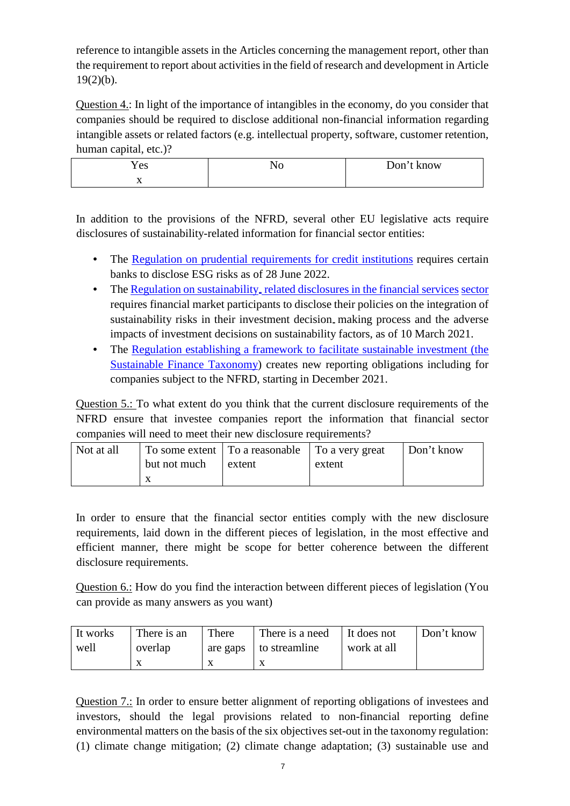reference to intangible assets in the Articles concerning the management report, other than the requirement to report about activities in the field of research and development in Article  $19(2)(b)$ .

Question 4.: In light of the importance of intangibles in the economy, do you consider that companies should be required to disclose additional non-financial information regarding intangible assets or related factors (e.g. intellectual property, software, customer retention, human capital, etc.)?

| <b>Yes</b> | **^ | Don't know |
|------------|-----|------------|
| 77         |     |            |

In addition to the provisions of the NFRD, several other EU legislative acts require disclosures of sustainability-related information for financial sector entities:

- The [Regulation on prudential requirements for credit institutions](https://eur-lex.europa.eu/legal-content/EN/TXT/?uri=CELEX:32013R0575) requires certain banks to disclose ESG risks as of 28 June 2022.
- The [Regulation on sustainability](https://eur-lex.europa.eu/legal-content/EN/TXT/?uri=CELEX:32019R2088), [related disclosures in the financial services](https://eur-lex.europa.eu/legal-content/EN/TXT/?uri=CELEX:32019R2088) [sector](https://eur-lex.europa.eu/legal-content/EN/TXT/?uri=CELEX:32019R2088) requires financial market participants to disclose their policies on the integration of sustainability risks in their investment decision making process and the adverse impacts of investment decisions on sustainability factors, as of 10 March 2021.
- The [Regulation establishing a framework to facilitate sustainable investment \(the](https://eur-lex.europa.eu/legal-content/EN/TXT/?uri=CONSIL:ST_14970_2019_ADD_1_COR_1) [Sustainable Finance Taxonomy\)](https://eur-lex.europa.eu/legal-content/EN/TXT/?uri=CONSIL:ST_14970_2019_ADD_1_COR_1) creates new reporting obligations including for companies subject to the NFRD, starting in December 2021.

Question 5.: To what extent do you think that the current disclosure requirements of the NFRD ensure that investee companies report the information that financial sector companies will need to meet their new disclosure requirements?

| Not at all |              | To some extent   To a reasonable   To a very great |        | Don't know |
|------------|--------------|----------------------------------------------------|--------|------------|
|            | but not much | extent                                             | extent |            |
|            |              |                                                    |        |            |

In order to ensure that the financial sector entities comply with the new disclosure requirements, laid down in the different pieces of legislation, in the most effective and efficient manner, there might be scope for better coherence between the different disclosure requirements.

Question 6.: How do you find the interaction between different pieces of legislation (You can provide as many answers as you want)

| It works | There is an | There | There is a need          | It does not | Don't know |
|----------|-------------|-------|--------------------------|-------------|------------|
| well     | overlap     |       | are gaps   to streamline | work at all |            |
|          |             |       | Λ                        |             |            |

Question 7.: In order to ensure better alignment of reporting obligations of investees and investors, should the legal provisions related to non-financial reporting define environmental matters on the basis of the six objectives set-out in the taxonomy regulation: (1) climate change mitigation; (2) climate change adaptation; (3) sustainable use and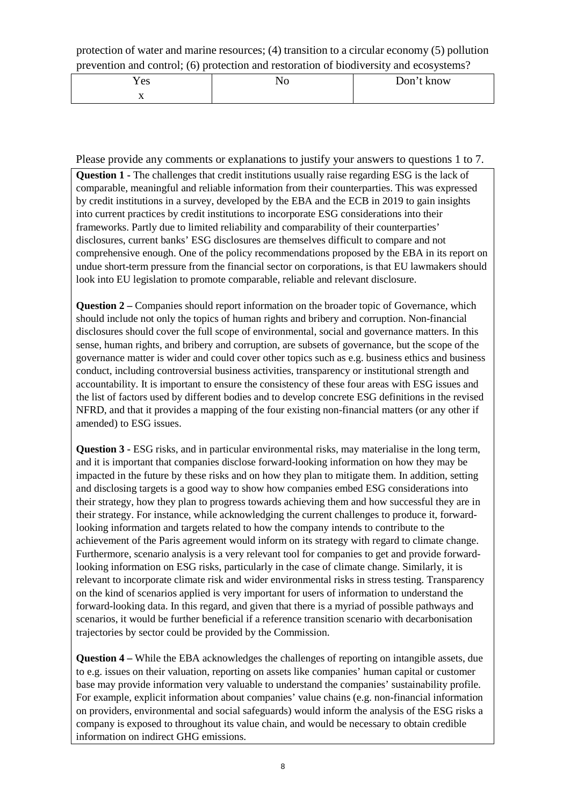protection of water and marine resources; (4) transition to a circular economy (5) pollution prevention and control; (6) protection and restoration of biodiversity and ecosystems?

| Y es                     | ,, | Don't know |
|--------------------------|----|------------|
| $\overline{\phantom{a}}$ |    |            |

Please provide any comments or explanations to justify your answers to questions 1 to 7.

**Question 1 -** The challenges that credit institutions usually raise regarding ESG is the lack of comparable, meaningful and reliable information from their counterparties. This was expressed by credit institutions in a survey, developed by the EBA and the ECB in 2019 to gain insights into current practices by credit institutions to incorporate ESG considerations into their frameworks. Partly due to limited reliability and comparability of their counterparties' disclosures, current banks' ESG disclosures are themselves difficult to compare and not comprehensive enough. One of the policy recommendations proposed by the EBA in its report on undue short-term pressure from the financial sector on corporations, is that EU lawmakers should look into EU legislation to promote comparable, reliable and relevant disclosure.

**Question 2** – Companies should report information on the broader topic of Governance, which should include not only the topics of human rights and bribery and corruption. Non-financial disclosures should cover the full scope of environmental, social and governance matters. In this sense, human rights, and bribery and corruption, are subsets of governance, but the scope of the governance matter is wider and could cover other topics such as e.g. business ethics and business conduct, including controversial business activities, transparency or institutional strength and accountability. It is important to ensure the consistency of these four areas with ESG issues and the list of factors used by different bodies and to develop concrete ESG definitions in the revised NFRD, and that it provides a mapping of the four existing non-financial matters (or any other if amended) to ESG issues.

**Question 3 -** ESG risks, and in particular environmental risks, may materialise in the long term, and it is important that companies disclose forward-looking information on how they may be impacted in the future by these risks and on how they plan to mitigate them. In addition, setting and disclosing targets is a good way to show how companies embed ESG considerations into their strategy, how they plan to progress towards achieving them and how successful they are in their strategy. For instance, while acknowledging the current challenges to produce it, forwardlooking information and targets related to how the company intends to contribute to the achievement of the Paris agreement would inform on its strategy with regard to climate change. Furthermore, scenario analysis is a very relevant tool for companies to get and provide forwardlooking information on ESG risks, particularly in the case of climate change. Similarly, it is relevant to incorporate climate risk and wider environmental risks in stress testing. Transparency on the kind of scenarios applied is very important for users of information to understand the forward-looking data. In this regard, and given that there is a myriad of possible pathways and scenarios, it would be further beneficial if a reference transition scenario with decarbonisation trajectories by sector could be provided by the Commission.

**Question 4 –** While the EBA acknowledges the challenges of reporting on intangible assets, due to e.g. issues on their valuation, reporting on assets like companies' human capital or customer base may provide information very valuable to understand the companies' sustainability profile. For example, explicit information about companies' value chains (e.g. non-financial information on providers, environmental and social safeguards) would inform the analysis of the ESG risks a company is exposed to throughout its value chain, and would be necessary to obtain credible information on indirect GHG emissions.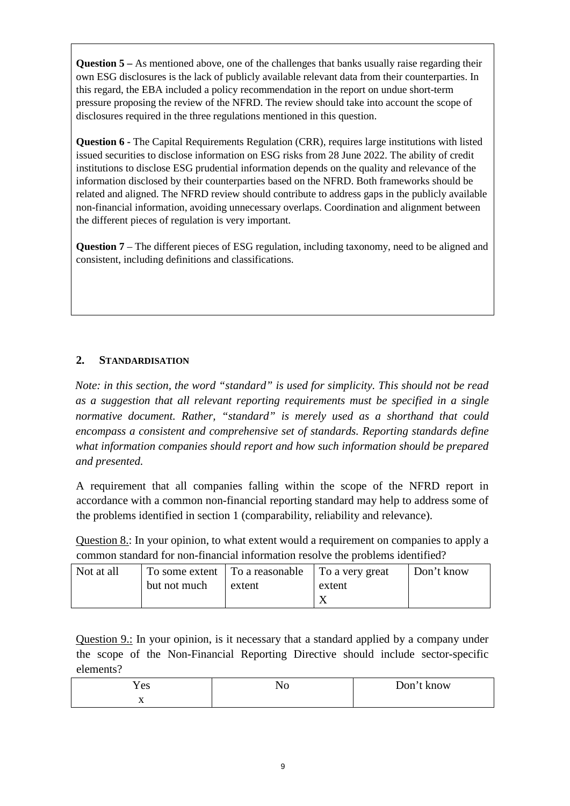**Question 5** – As mentioned above, one of the challenges that banks usually raise regarding their own ESG disclosures is the lack of publicly available relevant data from their counterparties. In this regard, the EBA included a policy recommendation in the report on undue short-term pressure proposing the review of the NFRD. The review should take into account the scope of disclosures required in the three regulations mentioned in this question.

**Question 6 -** The Capital Requirements Regulation (CRR), requires large institutions with listed issued securities to disclose information on ESG risks from 28 June 2022. The ability of credit institutions to disclose ESG prudential information depends on the quality and relevance of the information disclosed by their counterparties based on the NFRD. Both frameworks should be related and aligned. The NFRD review should contribute to address gaps in the publicly available non-financial information, avoiding unnecessary overlaps. Coordination and alignment between the different pieces of regulation is very important.

**Question 7** – The different pieces of ESG regulation, including taxonomy, need to be aligned and consistent, including definitions and classifications.

## **2. STANDARDISATION**

*Note: in this section, the word "standard" is used for simplicity. This should not be read as a suggestion that all relevant reporting requirements must be specified in a single normative document. Rather, "standard" is merely used as a shorthand that could encompass a consistent and comprehensive set of standards. Reporting standards define what information companies should report and how such information should be prepared and presented.* 

A requirement that all companies falling within the scope of the NFRD report in accordance with a common non-financial reporting standard may help to address some of the problems identified in section 1 (comparability, reliability and relevance).

Question 8.: In your opinion, to what extent would a requirement on companies to apply a common standard for non-financial information resolve the problems identified?

| Not at all |              | To some extent   To a reasonable   To a very great |        | Don't know |
|------------|--------------|----------------------------------------------------|--------|------------|
|            | but not much | extent                                             | extent |            |
|            |              |                                                    |        |            |

Question 9.: In your opinion, is it necessary that a standard applied by a company under the scope of the Non-Financial Reporting Directive should include sector-specific elements?

| Y es         | 11 O | Don't<br>ι know |
|--------------|------|-----------------|
| $\mathbf{A}$ |      |                 |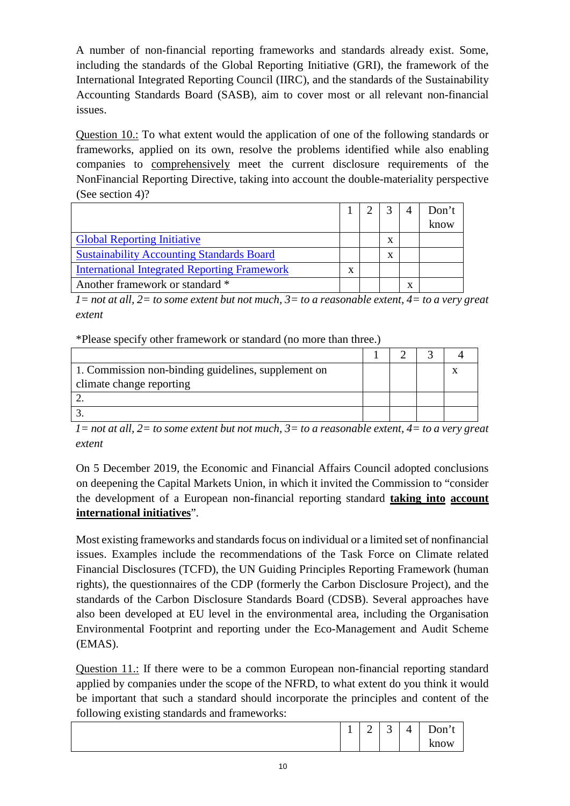A number of non-financial reporting frameworks and standards already exist. Some, including the standards of the Global Reporting Initiative (GRI), the framework of the International Integrated Reporting Council (IIRC), and the standards of the Sustainability Accounting Standards Board (SASB), aim to cover most or all relevant non-financial issues.

Question 10.: To what extent would the application of one of the following standards or frameworks, applied on its own, resolve the problems identified while also enabling companies to comprehensively meet the current disclosure requirements of the NonFinancial Reporting Directive, taking into account the double-materiality perspective (See section 4)?

|                                                     |  |   |   | Don't |
|-----------------------------------------------------|--|---|---|-------|
|                                                     |  |   |   | know  |
| <b>Global Reporting Initiative</b>                  |  | X |   |       |
| <b>Sustainability Accounting Standards Board</b>    |  | X |   |       |
| <b>International Integrated Reporting Framework</b> |  |   |   |       |
| Another framework or standard *                     |  |   | x |       |

*1= not at all, 2= to some extent but not much, 3= to a reasonable extent, 4= to a very great extent*

\*Please specify other framework or standard (no more than three.)

| 1. Commission non-binding guidelines, supplement on |  |  |
|-----------------------------------------------------|--|--|
| climate change reporting                            |  |  |
|                                                     |  |  |
|                                                     |  |  |

*1= not at all, 2= to some extent but not much, 3= to a reasonable extent, 4= to a very great extent*

On 5 December 2019, the Economic and Financial Affairs Council adopted conclusions on deepening the Capital Markets Union, in which it invited the Commission to "consider the development of a European non-financial reporting standard **taking into account international initiatives**".

Most existing frameworks and standards focus on individual or a limited set of nonfinancial issues. Examples include the recommendations of the Task Force on Climate related Financial Disclosures (TCFD), the UN Guiding Principles Reporting Framework (human rights), the questionnaires of the CDP (formerly the Carbon Disclosure Project), and the standards of the Carbon Disclosure Standards Board (CDSB). Several approaches have also been developed at EU level in the environmental area, including the Organisation Environmental Footprint and reporting under the Eco-Management and Audit Scheme (EMAS).

Question 11.: If there were to be a common European non-financial reporting standard applied by companies under the scope of the NFRD, to what extent do you think it would be important that such a standard should incorporate the principles and content of the following existing standards and frameworks:

| ັ | ັ |   |        |                               |   |         |
|---|---|---|--------|-------------------------------|---|---------|
|   |   | - | -<br>∽ | $\overline{\phantom{0}}$<br>ັ | ∸ | $Don^+$ |
|   |   |   |        |                               |   | know    |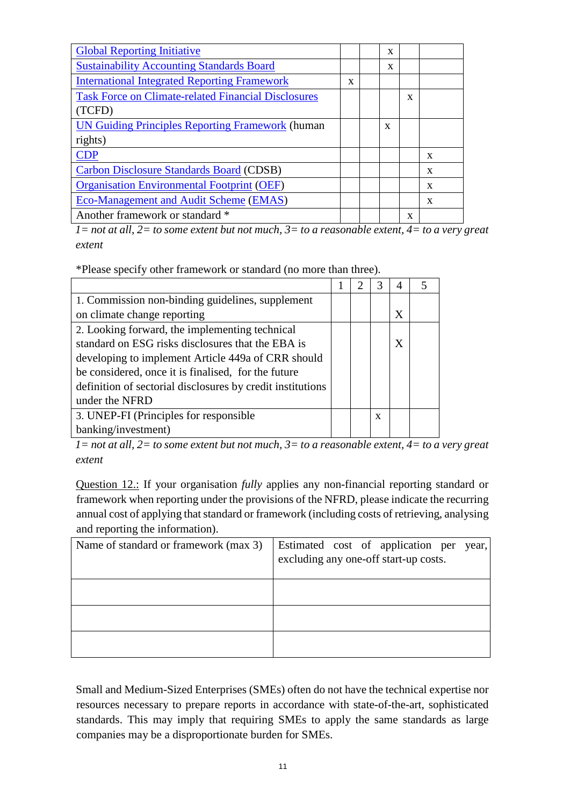| <b>Global Reporting Initiative</b>                         |   | X |   |   |
|------------------------------------------------------------|---|---|---|---|
| <b>Sustainability Accounting Standards Board</b>           |   | X |   |   |
| <b>International Integrated Reporting Framework</b>        | X |   |   |   |
| <b>Task Force on Climate-related Financial Disclosures</b> |   |   | X |   |
| TCFD)                                                      |   |   |   |   |
| <b>UN Guiding Principles Reporting Framework (human</b>    |   | X |   |   |
| rights)                                                    |   |   |   |   |
| <b>CDP</b>                                                 |   |   |   | X |
| Carbon Disclosure Standards Board (CDSB)                   |   |   |   | X |
| <b>Organisation Environmental Footprint (OEF)</b>          |   |   |   | X |
| <b>Eco-Management and Audit Scheme (EMAS)</b>              |   |   |   | X |
| Another framework or standard *                            |   |   | X |   |

*1= not at all, 2= to some extent but not much, 3= to a reasonable extent, 4= to a very great extent*

\*Please specify other framework or standard (no more than three).

| 1. Commission non-binding guidelines, supplement           |  |   |              |  |
|------------------------------------------------------------|--|---|--------------|--|
| on climate change reporting                                |  |   | X            |  |
| 2. Looking forward, the implementing technical             |  |   |              |  |
| standard on ESG risks disclosures that the EBA is          |  |   | $\mathbf{X}$ |  |
| developing to implement Article 449a of CRR should         |  |   |              |  |
| be considered, once it is finalised, for the future        |  |   |              |  |
| definition of sectorial disclosures by credit institutions |  |   |              |  |
| under the NFRD                                             |  |   |              |  |
| 3. UNEP-FI (Principles for responsible)                    |  | X |              |  |
| banking/investment)                                        |  |   |              |  |

*1= not at all, 2= to some extent but not much, 3= to a reasonable extent, 4= to a very great extent*

Question 12.: If your organisation *fully* applies any non-financial reporting standard or framework when reporting under the provisions of the NFRD, please indicate the recurring annual cost of applying that standard or framework (including costs of retrieving, analysing and reporting the information).

| Name of standard or framework (max 3) | Estimated cost of application per year,<br>excluding any one-off start-up costs. |
|---------------------------------------|----------------------------------------------------------------------------------|
|                                       |                                                                                  |
|                                       |                                                                                  |
|                                       |                                                                                  |

Small and Medium-Sized Enterprises (SMEs) often do not have the technical expertise nor resources necessary to prepare reports in accordance with state-of-the-art, sophisticated standards. This may imply that requiring SMEs to apply the same standards as large companies may be a disproportionate burden for SMEs.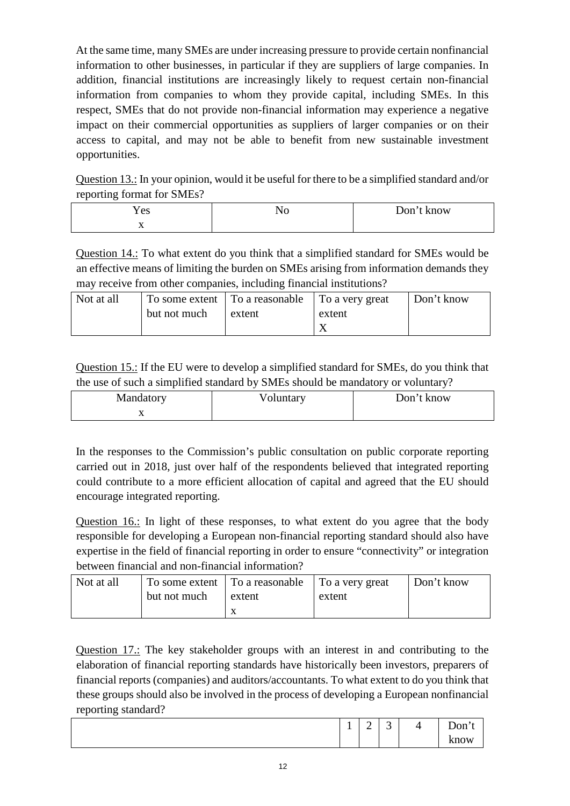At the same time, many SMEs are under increasing pressure to provide certain nonfinancial information to other businesses, in particular if they are suppliers of large companies. In addition, financial institutions are increasingly likely to request certain non-financial information from companies to whom they provide capital, including SMEs. In this respect, SMEs that do not provide non-financial information may experience a negative impact on their commercial opportunities as suppliers of larger companies or on their access to capital, and may not be able to benefit from new sustainable investment opportunities.

Question 13.: In your opinion, would it be useful for there to be a simplified standard and/or reporting format for SMEs?

| -          |     |            |
|------------|-----|------------|
| <b>Yes</b> | 1 7 | Don't know |
| $\Lambda$  |     |            |

Question 14.: To what extent do you think that a simplified standard for SMEs would be an effective means of limiting the burden on SMEs arising from information demands they may receive from other companies, including financial institutions?

| Not at all |              | To some extent   To a reasonable   To a very great |        | Don't know |
|------------|--------------|----------------------------------------------------|--------|------------|
|            | but not much | extent                                             | extent |            |
|            |              |                                                    |        |            |

Question 15.: If the EU were to develop a simplified standard for SMEs, do you think that the use of such a simplified standard by SMEs should be mandatory or voluntary?

| Mandatory | Voluntary | Don't know |
|-----------|-----------|------------|
| $\Lambda$ |           |            |

In the responses to the Commission's public consultation on public corporate reporting carried out in 2018, just over half of the respondents believed that integrated reporting could contribute to a more efficient allocation of capital and agreed that the EU should encourage integrated reporting.

Question 16.: In light of these responses, to what extent do you agree that the body responsible for developing a European non-financial reporting standard should also have expertise in the field of financial reporting in order to ensure "connectivity" or integration between financial and non-financial information?

| Not at all | but not much | To some extent   To a reasonable   To a very great<br>extent | extent | Don't know |
|------------|--------------|--------------------------------------------------------------|--------|------------|
|            |              |                                                              |        |            |

Question 17.: The key stakeholder groups with an interest in and contributing to the elaboration of financial reporting standards have historically been investors, preparers of financial reports (companies) and auditors/accountants. To what extent to do you think that these groups should also be involved in the process of developing a European nonfinancial reporting standard?

| ×<br><b>.</b> | ∽<br>-<br>- | $\sim$<br>ັ | $\prime$<br>- | $\mathbf{\bar{r}}$<br>$Don^{\circ}$ |
|---------------|-------------|-------------|---------------|-------------------------------------|
|               |             |             |               | know                                |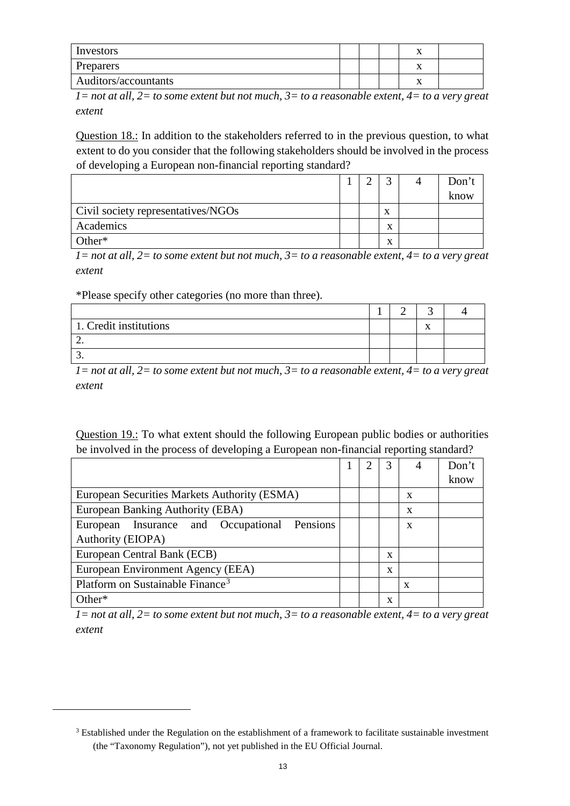| Investors            |  | $\Lambda$ |  |
|----------------------|--|-----------|--|
| Preparers            |  | $\Lambda$ |  |
| Auditors/accountants |  | $\lambda$ |  |

*1= not at all, 2= to some extent but not much, 3= to a reasonable extent, 4= to a very great extent*

Question 18.: In addition to the stakeholders referred to in the previous question, to what extent to do you consider that the following stakeholders should be involved in the process of developing a European non-financial reporting standard?

|                                    |  |                           | Don't |
|------------------------------------|--|---------------------------|-------|
|                                    |  |                           | know  |
| Civil society representatives/NGOs |  | $\mathbf{v}$<br>$\lambda$ |       |
| Academics                          |  | $\mathbf{v}$<br>́         |       |
| Other $*$                          |  | $\mathbf{v}$              |       |

*1= not at all, 2= to some extent but not much, 3= to a reasonable extent, 4= to a very great extent*

\*Please specify other categories (no more than three).

<span id="page-12-0"></span> $\overline{a}$ 

| 1. Credit institutions |  | $\mathbf{v}$ |  |
|------------------------|--|--------------|--|
|                        |  |              |  |
|                        |  |              |  |

*1= not at all, 2= to some extent but not much, 3= to a reasonable extent, 4= to a very great extent*

Question 19.: To what extent should the following European public bodies or authorities be involved in the process of developing a European non-financial reporting standard?

|                                              |  |             |   | Don't |
|----------------------------------------------|--|-------------|---|-------|
|                                              |  |             |   | know  |
| European Securities Markets Authority (ESMA) |  |             | X |       |
| European Banking Authority (EBA)             |  |             | X |       |
| European Insurance and Occupational Pensions |  |             | X |       |
| Authority (EIOPA)                            |  |             |   |       |
| European Central Bank (ECB)                  |  | X           |   |       |
| European Environment Agency (EEA)            |  | $\mathbf x$ |   |       |
| Platform on Sustainable Finance <sup>3</sup> |  |             | X |       |
| $Other*$                                     |  | x           |   |       |

*1= not at all, 2= to some extent but not much, 3= to a reasonable extent, 4= to a very great extent*

<sup>&</sup>lt;sup>3</sup> Established under the Regulation on the establishment of a framework to facilitate sustainable investment (the "Taxonomy Regulation"), not yet published in the EU Official Journal.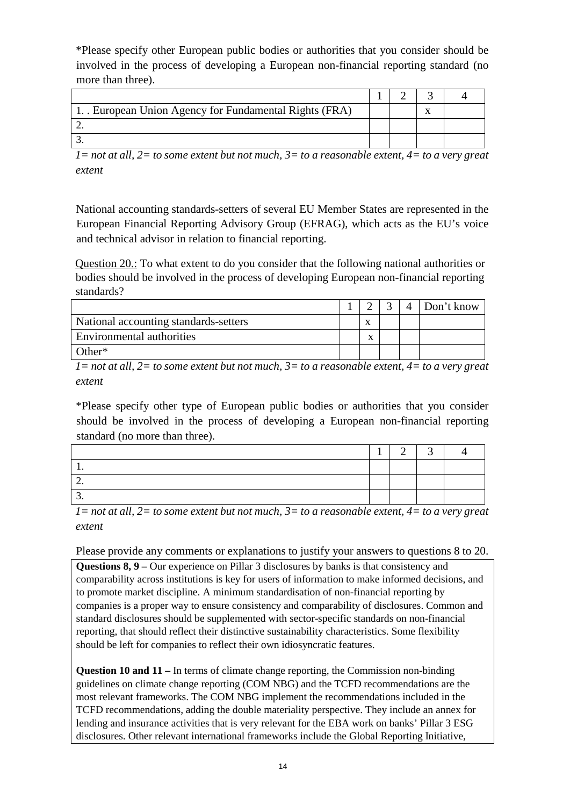\*Please specify other European public bodies or authorities that you consider should be involved in the process of developing a European non-financial reporting standard (no more than three).

| 1. European Union Agency for Fundamental Rights (FRA) |  |  |
|-------------------------------------------------------|--|--|
|                                                       |  |  |
|                                                       |  |  |

*1= not at all, 2= to some extent but not much, 3= to a reasonable extent, 4= to a very great extent*

National accounting standards-setters of several EU Member States are represented in the European Financial Reporting Advisory Group (EFRAG), which acts as the EU's voice and technical advisor in relation to financial reporting.

Question 20.: To what extent to do you consider that the following national authorities or bodies should be involved in the process of developing European non-financial reporting standards?

|                                       |        | $\overline{4}$ | Don't know |
|---------------------------------------|--------|----------------|------------|
| National accounting standards-setters | л      |                |            |
| Environmental authorities             | v<br>л |                |            |
| Other $*$                             |        |                |            |

*1= not at all, 2= to some extent but not much, 3= to a reasonable extent, 4= to a very great extent*

\*Please specify other type of European public bodies or authorities that you consider should be involved in the process of developing a European non-financial reporting standard (no more than three).

*1= not at all, 2= to some extent but not much, 3= to a reasonable extent, 4= to a very great extent* 

Please provide any comments or explanations to justify your answers to questions 8 to 20.

**Questions 8, 9 –** Our experience on Pillar 3 disclosures by banks is that consistency and comparability across institutions is key for users of information to make informed decisions, and to promote market discipline. A minimum standardisation of non-financial reporting by companies is a proper way to ensure consistency and comparability of disclosures. Common and standard disclosures should be supplemented with sector-specific standards on non-financial reporting, that should reflect their distinctive sustainability characteristics. Some flexibility should be left for companies to reflect their own idiosyncratic features.

**Question 10 and 11** – In terms of climate change reporting, the Commission non-binding guidelines on climate change reporting (COM NBG) and the TCFD recommendations are the most relevant frameworks. The COM NBG implement the recommendations included in the TCFD recommendations, adding the double materiality perspective. They include an annex for lending and insurance activities that is very relevant for the EBA work on banks' Pillar 3 ESG disclosures. Other relevant international frameworks include the Global Reporting Initiative,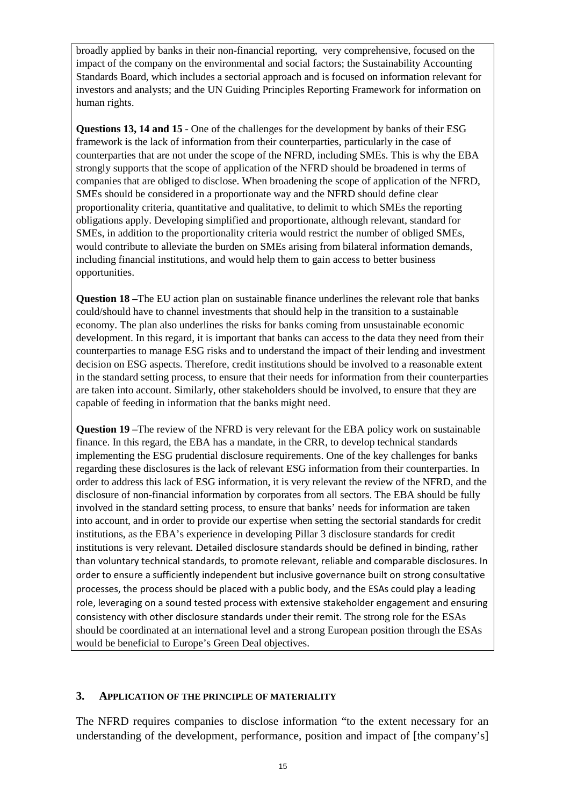broadly applied by banks in their non-financial reporting, very comprehensive, focused on the impact of the company on the environmental and social factors; the Sustainability Accounting Standards Board, which includes a sectorial approach and is focused on information relevant for investors and analysts; and the UN Guiding Principles Reporting Framework for information on human rights.

**Questions 13, 14 and 15** - One of the challenges for the development by banks of their ESG framework is the lack of information from their counterparties, particularly in the case of counterparties that are not under the scope of the NFRD, including SMEs. This is why the EBA strongly supports that the scope of application of the NFRD should be broadened in terms of companies that are obliged to disclose. When broadening the scope of application of the NFRD, SMEs should be considered in a proportionate way and the NFRD should define clear proportionality criteria, quantitative and qualitative, to delimit to which SMEs the reporting obligations apply. Developing simplified and proportionate, although relevant, standard for SMEs, in addition to the proportionality criteria would restrict the number of obliged SMEs, would contribute to alleviate the burden on SMEs arising from bilateral information demands, including financial institutions, and would help them to gain access to better business opportunities.

**Question 18 –**The EU action plan on sustainable finance underlines the relevant role that banks could/should have to channel investments that should help in the transition to a sustainable economy. The plan also underlines the risks for banks coming from unsustainable economic development. In this regard, it is important that banks can access to the data they need from their counterparties to manage ESG risks and to understand the impact of their lending and investment decision on ESG aspects. Therefore, credit institutions should be involved to a reasonable extent in the standard setting process, to ensure that their needs for information from their counterparties are taken into account. Similarly, other stakeholders should be involved, to ensure that they are capable of feeding in information that the banks might need.

**Question 19 –**The review of the NFRD is very relevant for the EBA policy work on sustainable finance. In this regard, the EBA has a mandate, in the CRR, to develop technical standards implementing the ESG prudential disclosure requirements. One of the key challenges for banks regarding these disclosures is the lack of relevant ESG information from their counterparties. In order to address this lack of ESG information, it is very relevant the review of the NFRD, and the disclosure of non-financial information by corporates from all sectors. The EBA should be fully involved in the standard setting process, to ensure that banks' needs for information are taken into account, and in order to provide our expertise when setting the sectorial standards for credit institutions, as the EBA's experience in developing Pillar 3 disclosure standards for credit institutions is very relevant. Detailed disclosure standards should be defined in binding, rather than voluntary technical standards, to promote relevant, reliable and comparable disclosures. In order to ensure a sufficiently independent but inclusive governance built on strong consultative processes, the process should be placed with a public body, and the ESAs could play a leading role, leveraging on a sound tested process with extensive stakeholder engagement and ensuring consistency with other disclosure standards under their remit. The strong role for the ESAs should be coordinated at an international level and a strong European position through the ESAs would be beneficial to Europe's Green Deal objectives.

#### **3. APPLICATION OF THE PRINCIPLE OF MATERIALITY**

The NFRD requires companies to disclose information "to the extent necessary for an understanding of the development, performance, position and impact of [the company's]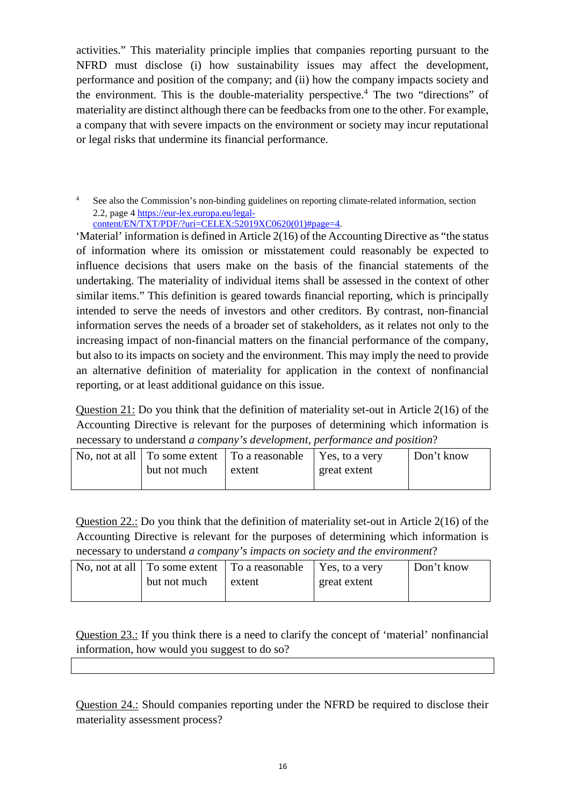activities." This materiality principle implies that companies reporting pursuant to the NFRD must disclose (i) how sustainability issues may affect the development, performance and position of the company; and (ii) how the company impacts society and the environment. This is the double-materiality perspective.<sup>4</sup> The two "directions" of materiality are distinct although there can be feedbacks from one to the other. For example, a company that with severe impacts on the environment or society may incur reputational or legal risks that undermine its financial performance.

See also the Commission's non-binding guidelines on reporting climate-related information, section 2.2, page [4 https://eur-lex.europa.eu/legal](https://eur-lex.europa.eu/legal-content/EN/TXT/PDF/?uri=CELEX:52019XC0620(01)#page=4)[content/EN/TXT/PDF/?uri=CELEX:52019XC0620\(01\)#page=4.](https://eur-lex.europa.eu/legal-content/EN/TXT/PDF/?uri=CELEX:52019XC0620(01)#page=4)

'Material' information is defined in Article 2(16) of the Accounting Directive as "the status of information where its omission or misstatement could reasonably be expected to influence decisions that users make on the basis of the financial statements of the undertaking. The materiality of individual items shall be assessed in the context of other similar items." This definition is geared towards financial reporting, which is principally intended to serve the needs of investors and other creditors. By contrast, non-financial information serves the needs of a broader set of stakeholders, as it relates not only to the increasing impact of non-financial matters on the financial performance of the company, but also to its impacts on society and the environment. This may imply the need to provide an alternative definition of materiality for application in the context of nonfinancial reporting, or at least additional guidance on this issue.

Question 21: Do you think that the definition of materiality set-out in Article 2(16) of the Accounting Directive is relevant for the purposes of determining which information is necessary to understand *a company's development, performance and position*?

|              | No, not at all $\vert$ To some extent $\vert$ To a reasonable $\vert$ Yes, to a very |              | Don't know |
|--------------|--------------------------------------------------------------------------------------|--------------|------------|
| but not much | extent                                                                               | great extent |            |
|              |                                                                                      |              |            |

Question 22.: Do you think that the definition of materiality set-out in Article 2(16) of the Accounting Directive is relevant for the purposes of determining which information is necessary to understand *a company's impacts on society and the environment*?

|              | No, not at all $\vert$ To some extent $\vert$ To a reasonable $\vert$ Yes, to a very |              | Don't know |
|--------------|--------------------------------------------------------------------------------------|--------------|------------|
| but not much | extent                                                                               | great extent |            |
|              |                                                                                      |              |            |

Question 23.: If you think there is a need to clarify the concept of 'material' nonfinancial information, how would you suggest to do so?

Question 24.: Should companies reporting under the NFRD be required to disclose their materiality assessment process?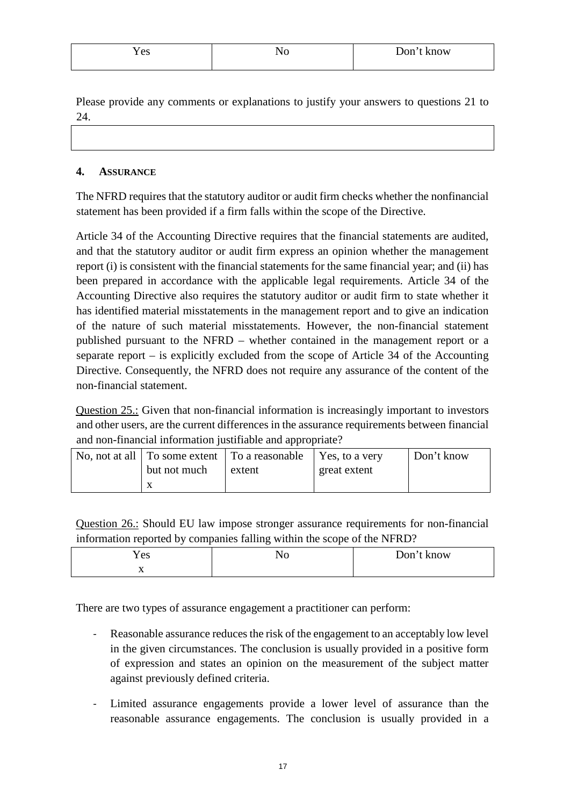| $\angle$ es | 10 | Don'<br>know |
|-------------|----|--------------|
|             |    |              |

Please provide any comments or explanations to justify your answers to questions 21 to 24.

#### **4. ASSURANCE**

The NFRD requires that the statutory auditor or audit firm checks whether the nonfinancial statement has been provided if a firm falls within the scope of the Directive.

Article 34 of the Accounting Directive requires that the financial statements are audited, and that the statutory auditor or audit firm express an opinion whether the management report (i) is consistent with the financial statements for the same financial year; and (ii) has been prepared in accordance with the applicable legal requirements. Article 34 of the Accounting Directive also requires the statutory auditor or audit firm to state whether it has identified material misstatements in the management report and to give an indication of the nature of such material misstatements. However, the non-financial statement published pursuant to the NFRD – whether contained in the management report or a separate report – is explicitly excluded from the scope of Article 34 of the Accounting Directive. Consequently, the NFRD does not require any assurance of the content of the non-financial statement.

Question 25.: Given that non-financial information is increasingly important to investors and other users, are the current differences in the assurance requirements between financial and non-financial information justifiable and appropriate?

|              | No, not at all $\vert$ To some extent $\vert$ To a reasonable $\vert$ Yes, to a very |              | Don't know |
|--------------|--------------------------------------------------------------------------------------|--------------|------------|
| but not much | extent                                                                               | great extent |            |
|              |                                                                                      |              |            |

Question 26.: Should EU law impose stronger assurance requirements for non-financial information reported by companies falling within the scope of the NFRD?

| Yes | NC<br>11 O | t know<br>Don't |
|-----|------------|-----------------|
| 77  |            |                 |

There are two types of assurance engagement a practitioner can perform:

- Reasonable assurance reduces the risk of the engagement to an acceptably low level in the given circumstances. The conclusion is usually provided in a positive form of expression and states an opinion on the measurement of the subject matter against previously defined criteria.
- Limited assurance engagements provide a lower level of assurance than the reasonable assurance engagements. The conclusion is usually provided in a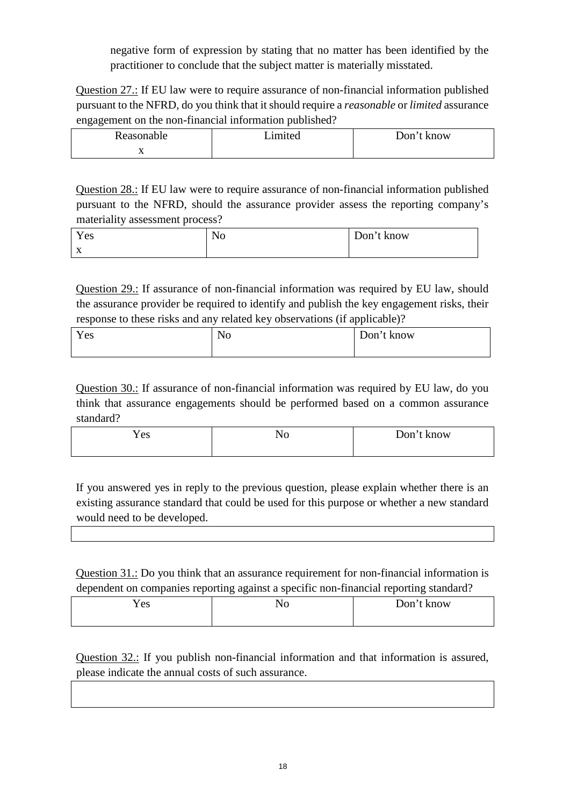negative form of expression by stating that no matter has been identified by the practitioner to conclude that the subject matter is materially misstated.

Question 27.: If EU law were to require assurance of non-financial information published pursuant to the NFRD, do you think that it should require a *reasonable* or *limited* assurance engagement on the non-financial information published?

| Reasonable | imited | Don't know |
|------------|--------|------------|
| $\Lambda$  |        |            |

Question 28.: If EU law were to require assurance of non-financial information published pursuant to the NFRD, should the assurance provider assess the reporting company's materiality assessment process?

| Yes            | No | Don't know |
|----------------|----|------------|
| $\overline{ }$ |    |            |

Question 29.: If assurance of non-financial information was required by EU law, should the assurance provider be required to identify and publish the key engagement risks, their response to these risks and any related key observations (if applicable)?

| Yes | No | Don't know |
|-----|----|------------|
|     |    |            |

Question 30.: If assurance of non-financial information was required by EU law, do you think that assurance engagements should be performed based on a common assurance standard?

| <b>Y</b> es | 1 I V | Don't k<br>t know |
|-------------|-------|-------------------|
|             |       |                   |

If you answered yes in reply to the previous question, please explain whether there is an existing assurance standard that could be used for this purpose or whether a new standard would need to be developed.

Question 31.: Do you think that an assurance requirement for non-financial information is dependent on companies reporting against a specific non-financial reporting standard?

| Yes | ÑŌ | Don't know |
|-----|----|------------|
|     |    |            |

Question 32.: If you publish non-financial information and that information is assured, please indicate the annual costs of such assurance.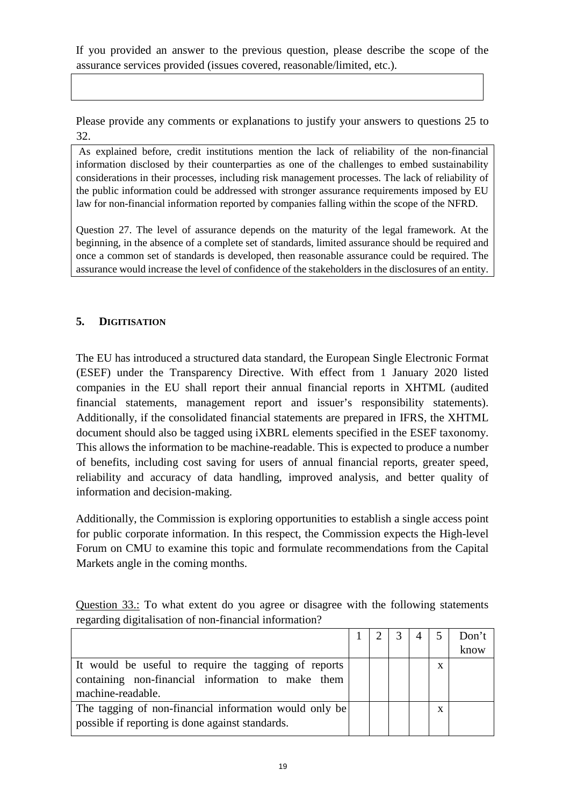If you provided an answer to the previous question, please describe the scope of the assurance services provided (issues covered, reasonable/limited, etc.).

Please provide any comments or explanations to justify your answers to questions 25 to 32.

As explained before, credit institutions mention the lack of reliability of the non-financial information disclosed by their counterparties as one of the challenges to embed sustainability considerations in their processes, including risk management processes. The lack of reliability of the public information could be addressed with stronger assurance requirements imposed by EU law for non-financial information reported by companies falling within the scope of the NFRD.

Question 27. The level of assurance depends on the maturity of the legal framework. At the beginning, in the absence of a complete set of standards, limited assurance should be required and once a common set of standards is developed, then reasonable assurance could be required. The assurance would increase the level of confidence of the stakeholders in the disclosures of an entity.

## **5. DIGITISATION**

The EU has introduced a structured data standard, the European Single Electronic Format (ESEF) under the Transparency Directive. With effect from 1 January 2020 listed companies in the EU shall report their annual financial reports in XHTML (audited financial statements, management report and issuer's responsibility statements). Additionally, if the consolidated financial statements are prepared in IFRS, the XHTML document should also be tagged using iXBRL elements specified in the ESEF taxonomy. This allows the information to be machine-readable. This is expected to produce a number of benefits, including cost saving for users of annual financial reports, greater speed, reliability and accuracy of data handling, improved analysis, and better quality of information and decision-making.

Additionally, the Commission is exploring opportunities to establish a single access point for public corporate information. In this respect, the Commission expects the High-level Forum on CMU to examine this topic and formulate recommendations from the Capital Markets angle in the coming months.

Question 33.: To what extent do you agree or disagree with the following statements regarding digitalisation of non-financial information?

|                                                        |  |  |   | Don't |
|--------------------------------------------------------|--|--|---|-------|
|                                                        |  |  |   | know  |
| It would be useful to require the tagging of reports   |  |  | x |       |
| containing non-financial information to make them      |  |  |   |       |
| machine-readable.                                      |  |  |   |       |
| The tagging of non-financial information would only be |  |  | x |       |
| possible if reporting is done against standards.       |  |  |   |       |
|                                                        |  |  |   |       |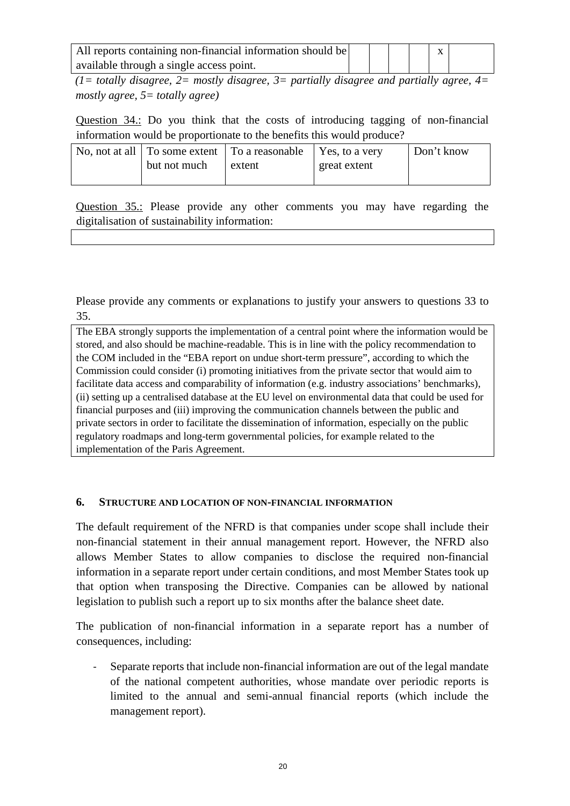| All reports containing non-financial information should be |  |  |  |
|------------------------------------------------------------|--|--|--|
| available through a single access point.                   |  |  |  |

*(1= totally disagree, 2= mostly disagree, 3= partially disagree and partially agree, 4= mostly agree, 5= totally agree)*

Question 34.: Do you think that the costs of introducing tagging of non-financial information would be proportionate to the benefits this would produce?

|              | No, not at all $\vert$ To some extent $\vert$ To a reasonable $\vert$ Yes, to a very |              | Don't know |
|--------------|--------------------------------------------------------------------------------------|--------------|------------|
| but not much | extent                                                                               | great extent |            |
|              |                                                                                      |              |            |

Question 35.: Please provide any other comments you may have regarding the digitalisation of sustainability information:

Please provide any comments or explanations to justify your answers to questions 33 to 35.

The EBA strongly supports the implementation of a central point where the information would be stored, and also should be machine-readable. This is in line with the policy recommendation to the COM included in the "EBA report on undue short-term pressure", according to which the Commission could consider (i) promoting initiatives from the private sector that would aim to facilitate data access and comparability of information (e.g. industry associations' benchmarks), (ii) setting up a centralised database at the EU level on environmental data that could be used for financial purposes and (iii) improving the communication channels between the public and private sectors in order to facilitate the dissemination of information, especially on the public regulatory roadmaps and long-term governmental policies, for example related to the implementation of the Paris Agreement.

#### **6. STRUCTURE AND LOCATION OF NON-FINANCIAL INFORMATION**

The default requirement of the NFRD is that companies under scope shall include their non-financial statement in their annual management report. However, the NFRD also allows Member States to allow companies to disclose the required non-financial information in a separate report under certain conditions, and most Member States took up that option when transposing the Directive. Companies can be allowed by national legislation to publish such a report up to six months after the balance sheet date.

The publication of non-financial information in a separate report has a number of consequences, including:

Separate reports that include non-financial information are out of the legal mandate of the national competent authorities, whose mandate over periodic reports is limited to the annual and semi-annual financial reports (which include the management report).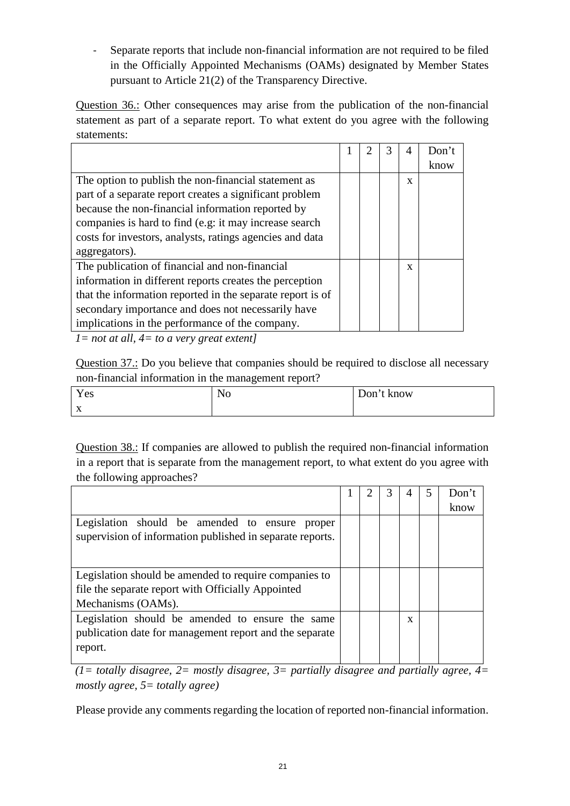- Separate reports that include non-financial information are not required to be filed in the Officially Appointed Mechanisms (OAMs) designated by Member States pursuant to Article 21(2) of the Transparency Directive.

Question 36.: Other consequences may arise from the publication of the non-financial statement as part of a separate report. To what extent do you agree with the following statements:

|  | 3 | 4 | Don't |
|--|---|---|-------|
|  |   |   | know  |
|  |   | X |       |
|  |   |   |       |
|  |   |   |       |
|  |   |   |       |
|  |   |   |       |
|  |   |   |       |
|  |   | X |       |
|  |   |   |       |
|  |   |   |       |
|  |   |   |       |
|  |   |   |       |
|  |   |   |       |

*1= not at all, 4= to a very great extent]*

Question 37.: Do you believe that companies should be required to disclose all necessary non-financial information in the management report?

| Yes                       | No | Don't know |
|---------------------------|----|------------|
| $\mathbf{v}$<br>$\Lambda$ |    |            |

Question 38.: If companies are allowed to publish the required non-financial information in a report that is separate from the management report, to what extent do you agree with the following approaches?

|                                                           |  | 3 |   | Don't |
|-----------------------------------------------------------|--|---|---|-------|
|                                                           |  |   |   | know  |
| Legislation should be amended to ensure proper            |  |   |   |       |
| supervision of information published in separate reports. |  |   |   |       |
|                                                           |  |   |   |       |
|                                                           |  |   |   |       |
| Legislation should be amended to require companies to     |  |   |   |       |
| file the separate report with Officially Appointed        |  |   |   |       |
| Mechanisms (OAMs).                                        |  |   |   |       |
| Legislation should be amended to ensure the same          |  |   | X |       |
| publication date for management report and the separate   |  |   |   |       |
| report.                                                   |  |   |   |       |
|                                                           |  |   |   |       |

*(1= totally disagree, 2= mostly disagree, 3= partially disagree and partially agree, 4= mostly agree, 5= totally agree)* 

Please provide any comments regarding the location of reported non-financial information.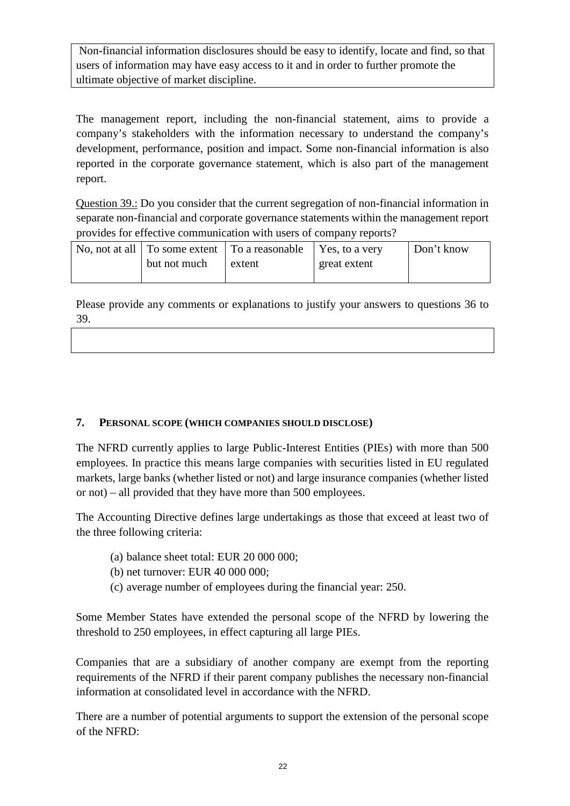Non-financial information disclosures should be easy to identify, locate and find, so that users of information may have easy access to it and in order to further promote the ultimate objective of market discipline.

The management report, including the non-financial statement, aims to provide a company's stakeholders with the information necessary to understand the company's development, performance, position and impact. Some non-financial information is also reported in the corporate governance statement, which is also part of the management report.

Question 39.: Do you consider that the current segregation of non-financial information in separate non-financial and corporate governance statements within the management report provides for effective communication with users of company reports?

|              | No, not at all $\vert$ To some extent $\vert$ To a reasonable $\vert$ Yes, to a very |              | Don't know |
|--------------|--------------------------------------------------------------------------------------|--------------|------------|
| but not much | extent                                                                               | great extent |            |
|              |                                                                                      |              |            |

Please provide any comments or explanations to justify your answers to questions 36 to 39.

#### **7. PERSONAL SCOPE (WHICH COMPANIES SHOULD DISCLOSE)**

The NFRD currently applies to large Public-Interest Entities (PIEs) with more than 500 employees. In practice this means large companies with securities listed in EU regulated markets, large banks (whether listed or not) and large insurance companies (whether listed or not) – all provided that they have more than 500 employees.

The Accounting Directive defines large undertakings as those that exceed at least two of the three following criteria:

- (a) balance sheet total: EUR 20 000 000;
- (b) net turnover: EUR 40 000 000;
- (c) average number of employees during the financial year: 250.

Some Member States have extended the personal scope of the NFRD by lowering the threshold to 250 employees, in effect capturing all large PIEs.

Companies that are a subsidiary of another company are exempt from the reporting requirements of the NFRD if their parent company publishes the necessary non-financial information at consolidated level in accordance with the NFRD.

There are a number of potential arguments to support the extension of the personal scope of the NFRD: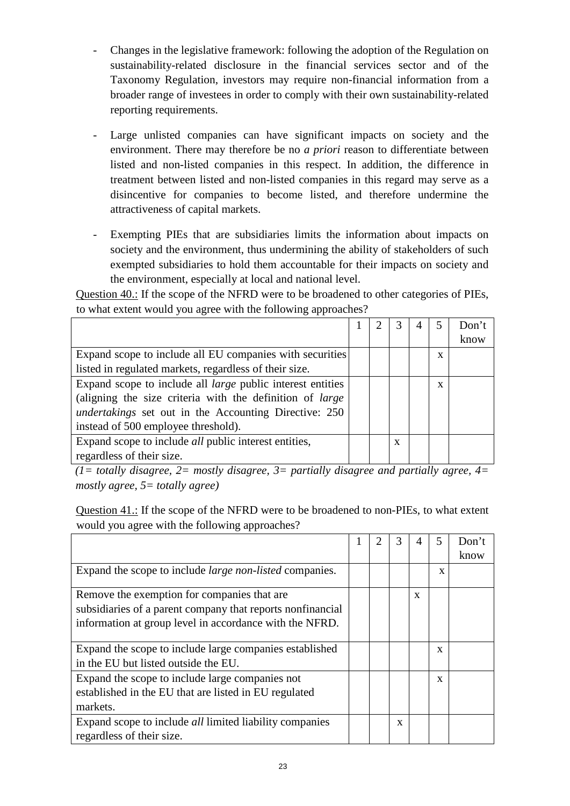- Changes in the legislative framework: following the adoption of the Regulation on sustainability-related disclosure in the financial services sector and of the Taxonomy Regulation, investors may require non-financial information from a broader range of investees in order to comply with their own sustainability-related reporting requirements.
- Large unlisted companies can have significant impacts on society and the environment. There may therefore be no *a priori* reason to differentiate between listed and non-listed companies in this respect. In addition, the difference in treatment between listed and non-listed companies in this regard may serve as a disincentive for companies to become listed, and therefore undermine the attractiveness of capital markets.
- Exempting PIEs that are subsidiaries limits the information about impacts on society and the environment, thus undermining the ability of stakeholders of such exempted subsidiaries to hold them accountable for their impacts on society and the environment, especially at local and national level.

Question 40.: If the scope of the NFRD were to be broadened to other categories of PIEs, to what extent would you agree with the following approaches?

|                                                                   |  |   |             | Don't |
|-------------------------------------------------------------------|--|---|-------------|-------|
|                                                                   |  |   |             | know  |
| Expand scope to include all EU companies with securities          |  |   | X           |       |
| listed in regulated markets, regardless of their size.            |  |   |             |       |
| Expand scope to include all <i>large</i> public interest entities |  |   | $\mathbf x$ |       |
| (aligning the size criteria with the definition of <i>large</i>   |  |   |             |       |
| <i>undertakings</i> set out in the Accounting Directive: 250      |  |   |             |       |
| instead of 500 employee threshold).                               |  |   |             |       |
| Expand scope to include <i>all</i> public interest entities,      |  | X |             |       |
| regardless of their size.                                         |  |   |             |       |

*(1= totally disagree, 2= mostly disagree, 3= partially disagree and partially agree, 4= mostly agree, 5= totally agree)*

Question 41.: If the scope of the NFRD were to be broadened to non-PIEs, to what extent would you agree with the following approaches?

|                                                                                                                                                                      | 2 | 3 | 4 |   | Don't<br>know |
|----------------------------------------------------------------------------------------------------------------------------------------------------------------------|---|---|---|---|---------------|
| Expand the scope to include <i>large non-listed</i> companies.                                                                                                       |   |   |   | X |               |
| Remove the exemption for companies that are<br>subsidiaries of a parent company that reports nonfinancial<br>information at group level in accordance with the NFRD. |   |   | X |   |               |
| Expand the scope to include large companies established<br>in the EU but listed outside the EU.                                                                      |   |   |   | X |               |
| Expand the scope to include large companies not<br>established in the EU that are listed in EU regulated<br>markets.                                                 |   |   |   | X |               |
| Expand scope to include <i>all</i> limited liability companies<br>regardless of their size.                                                                          |   | X |   |   |               |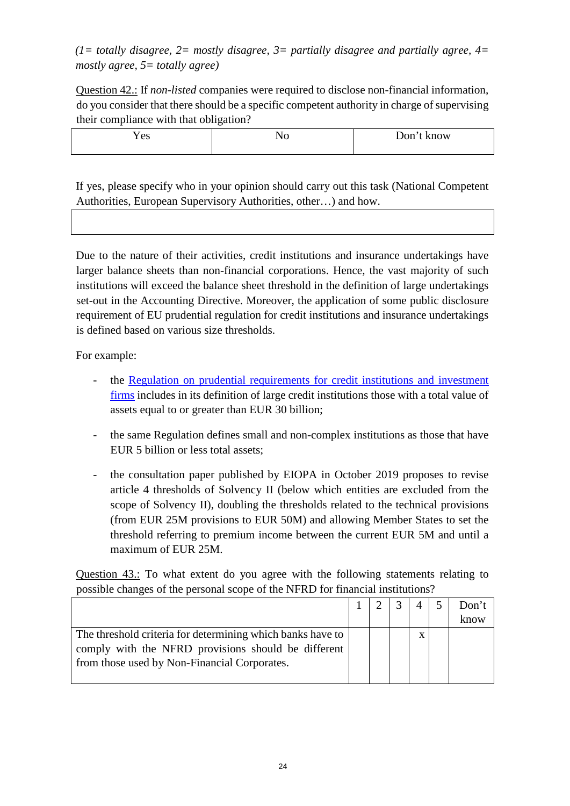*(1= totally disagree, 2= mostly disagree, 3= partially disagree and partially agree, 4= mostly agree, 5= totally agree)* 

Question 42.: If *non-listed* companies were required to disclose non-financial information, do you consider that there should be a specific competent authority in charge of supervising their compliance with that obligation?

| Y es | 11 O | Don't know |
|------|------|------------|
|      |      |            |

If yes, please specify who in your opinion should carry out this task (National Competent Authorities, European Supervisory Authorities, other…) and how.

Due to the nature of their activities, credit institutions and insurance undertakings have larger balance sheets than non-financial corporations. Hence, the vast majority of such institutions will exceed the balance sheet threshold in the definition of large undertakings set-out in the Accounting Directive. Moreover, the application of some public disclosure requirement of EU prudential regulation for credit institutions and insurance undertakings is defined based on various size thresholds.

For example:

- the [Regulation on prudential requirements for credit institutions and investment](https://eur-lex.europa.eu/legal-content/EN/TXT/PDF/?uri=CELEX:02013R0575-20190627&from=EN) [firms](https://eur-lex.europa.eu/legal-content/EN/TXT/PDF/?uri=CELEX:02013R0575-20190627&from=EN) includes in its definition of large credit institutions those with a total value of assets equal to or greater than EUR 30 billion;
- the same Regulation defines small and non-complex institutions as those that have EUR 5 billion or less total assets;
- the consultation paper published by EIOPA in October 2019 proposes to revise article 4 thresholds of Solvency II (below which entities are excluded from the scope of Solvency II), doubling the thresholds related to the technical provisions (from EUR 25M provisions to EUR 50M) and allowing Member States to set the threshold referring to premium income between the current EUR 5M and until a maximum of EUR 25M.

Question 43.: To what extent do you agree with the following statements relating to possible changes of the personal scope of the NFRD for financial institutions?

|                                                                                                                                                                   |  |   | Don't<br>know |
|-------------------------------------------------------------------------------------------------------------------------------------------------------------------|--|---|---------------|
| The threshold criteria for determining which banks have to<br>comply with the NFRD provisions should be different<br>from those used by Non-Financial Corporates. |  | X |               |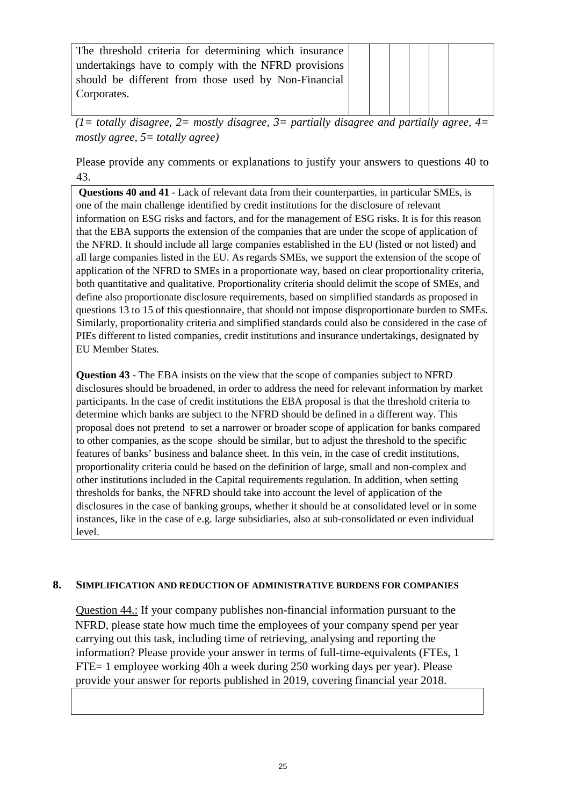| The threshold criteria for determining which insurance |  |  |  |  |
|--------------------------------------------------------|--|--|--|--|
| undertakings have to comply with the NFRD provisions   |  |  |  |  |
| should be different from those used by Non-Financial   |  |  |  |  |
| Corporates.                                            |  |  |  |  |
|                                                        |  |  |  |  |

*(1= totally disagree, 2= mostly disagree, 3= partially disagree and partially agree, 4= mostly agree, 5= totally agree)*

Please provide any comments or explanations to justify your answers to questions 40 to 43.

**Questions 40 and 41** - Lack of relevant data from their counterparties, in particular SMEs, is one of the main challenge identified by credit institutions for the disclosure of relevant information on ESG risks and factors, and for the management of ESG risks. It is for this reason that the EBA supports the extension of the companies that are under the scope of application of the NFRD. It should include all large companies established in the EU (listed or not listed) and all large companies listed in the EU. As regards SMEs, we support the extension of the scope of application of the NFRD to SMEs in a proportionate way, based on clear proportionality criteria, both quantitative and qualitative. Proportionality criteria should delimit the scope of SMEs, and define also proportionate disclosure requirements, based on simplified standards as proposed in questions 13 to 15 of this questionnaire, that should not impose disproportionate burden to SMEs. Similarly, proportionality criteria and simplified standards could also be considered in the case of PIEs different to listed companies, credit institutions and insurance undertakings, designated by EU Member States.

**Question 43 -** The EBA insists on the view that the scope of companies subject to NFRD disclosures should be broadened, in order to address the need for relevant information by market participants. In the case of credit institutions the EBA proposal is that the threshold criteria to determine which banks are subject to the NFRD should be defined in a different way. This proposal does not pretend to set a narrower or broader scope of application for banks compared to other companies, as the scope should be similar, but to adjust the threshold to the specific features of banks' business and balance sheet. In this vein, in the case of credit institutions, proportionality criteria could be based on the definition of large, small and non-complex and other institutions included in the Capital requirements regulation. In addition, when setting thresholds for banks, the NFRD should take into account the level of application of the disclosures in the case of banking groups, whether it should be at consolidated level or in some instances, like in the case of e.g. large subsidiaries, also at sub-consolidated or even individual level.

#### **8. SIMPLIFICATION AND REDUCTION OF ADMINISTRATIVE BURDENS FOR COMPANIES**

Question 44.: If your company publishes non-financial information pursuant to the NFRD, please state how much time the employees of your company spend per year carrying out this task, including time of retrieving, analysing and reporting the information? Please provide your answer in terms of full-time-equivalents (FTEs, 1 FTE= 1 employee working 40h a week during 250 working days per year). Please provide your answer for reports published in 2019, covering financial year 2018.